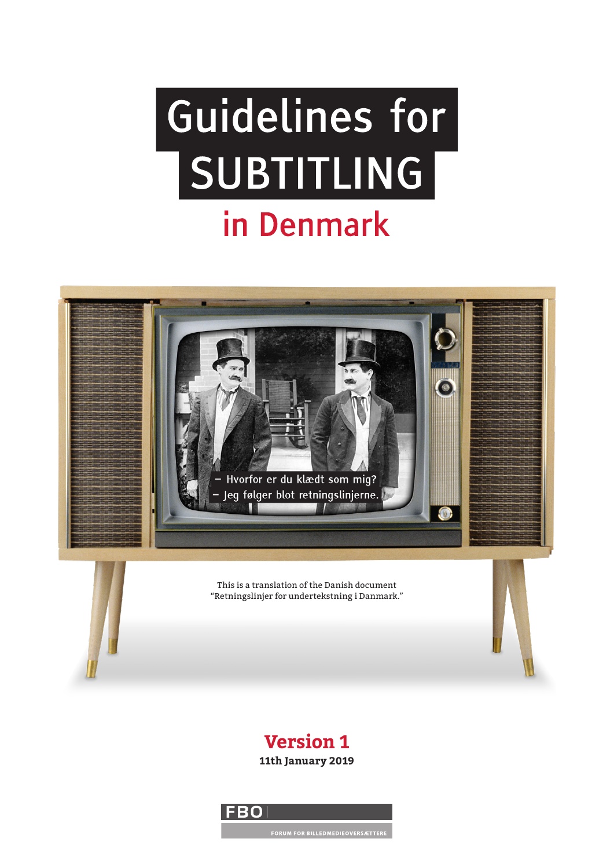# Guidelines for SUBTITLING in Denmark



### **Version 1 11th January 2019**

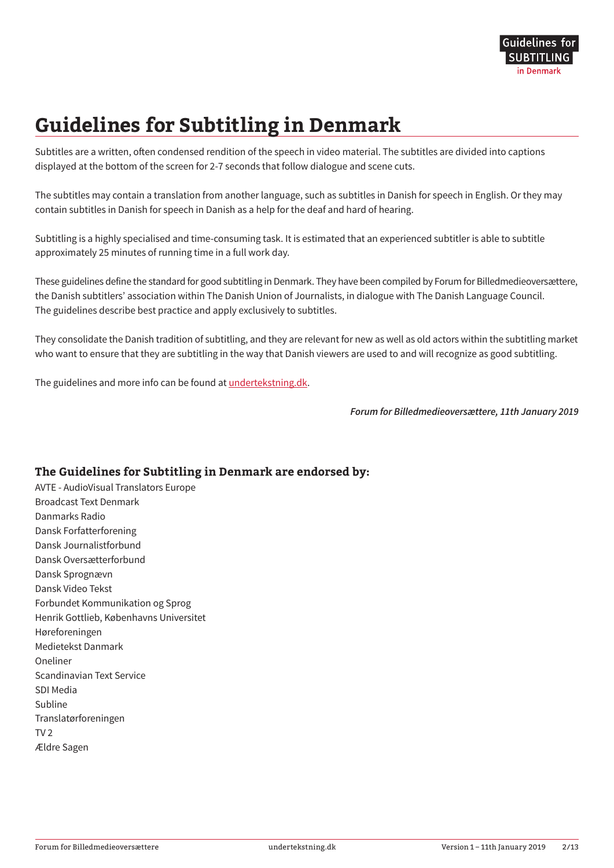# **Guidelines for Subtitling in Denmark**

Subtitles are a written, often condensed rendition of the speech in video material. The subtitles are divided into captions displayed at the bottom of the screen for 2-7 seconds that follow dialogue and scene cuts.

The subtitles may contain a translation from another language, such as subtitles in Danish for speech in English. Or they may contain subtitles in Danish for speech in Danish as a help for the deaf and hard of hearing.

Subtitling is a highly specialised and time-consuming task. It is estimated that an experienced subtitler is able to subtitle approximately 25 minutes of running time in a full work day.

These guidelines define the standard for good subtitling in Denmark. They have been compiled by Forum for Billedmedieoversættere, the Danish subtitlers' association within The Danish Union of Journalists, in dialogue with The Danish Language Council. The guidelines describe best practice and apply exclusively to subtitles.

They consolidate the Danish tradition of subtitling, and they are relevant for new as well as old actors within the subtitling market who want to ensure that they are subtitling in the way that Danish viewers are used to and will recognize as good subtitling.

The guidelines and more info can be found at [undertekstning.dk](https://undertekstning.dk).

*Forum for Billedmedieoversættere, 11th January 2019*

#### **The Guidelines for Subtitling in Denmark are endorsed by:**

AVTE - AudioVisual Translators Europe Broadcast Text Denmark Danmarks Radio Dansk Forfatterforening Dansk Journalistforbund Dansk Oversætterforbund Dansk Sprognævn Dansk Video Tekst Forbundet Kommunikation og Sprog Henrik Gottlieb, Københavns Universitet Høreforeningen Medietekst Danmark Oneliner Scandinavian Text Service SDI Media Subline Translatørforeningen TV 2 Ældre Sagen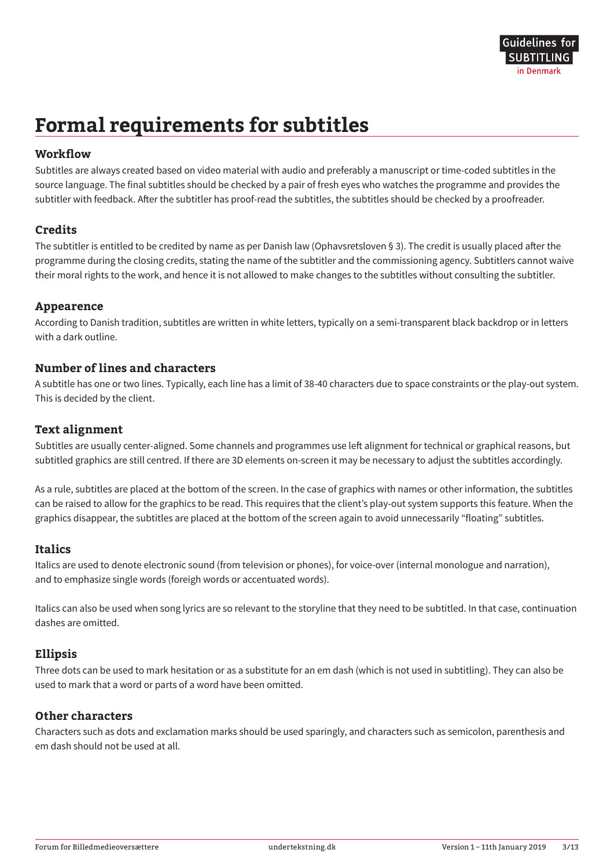# **Formal requirements for subtitles**

#### **Workflow**

Subtitles are always created based on video material with audio and preferably a manuscript or time-coded subtitles in the source language. The final subtitles should be checked by a pair of fresh eyes who watches the programme and provides the subtitler with feedback. After the subtitler has proof-read the subtitles, the subtitles should be checked by a proofreader.

#### **Credits**

The subtitler is entitled to be credited by name as per Danish law (Ophavsretsloven § 3). The credit is usually placed after the programme during the closing credits, stating the name of the subtitler and the commissioning agency. Subtitlers cannot waive their moral rights to the work, and hence it is not allowed to make changes to the subtitles without consulting the subtitler.

#### **Appearence**

According to Danish tradition, subtitles are written in white letters, typically on a semi-transparent black backdrop or in letters with a dark outline.

#### **Number of lines and characters**

A subtitle has one or two lines. Typically, each line has a limit of 38-40 characters due to space constraints or the play-out system. This is decided by the client.

#### **Text alignment**

Subtitles are usually center-aligned. Some channels and programmes use left alignment for technical or graphical reasons, but subtitled graphics are still centred. If there are 3D elements on-screen it may be necessary to adjust the subtitles accordingly.

As a rule, subtitles are placed at the bottom of the screen. In the case of graphics with names or other information, the subtitles can be raised to allow for the graphics to be read. This requires that the client's play-out system supports this feature. When the graphics disappear, the subtitles are placed at the bottom of the screen again to avoid unnecessarily "floating" subtitles.

#### **Italics**

Italics are used to denote electronic sound (from television or phones), for voice-over (internal monologue and narration), and to emphasize single words (foreigh words or accentuated words).

Italics can also be used when song lyrics are so relevant to the storyline that they need to be subtitled. In that case, continuation dashes are omitted.

#### **Ellipsis**

Three dots can be used to mark hesitation or as a substitute for an em dash (which is not used in subtitling). They can also be used to mark that a word or parts of a word have been omitted.

#### **Other characters**

Characters such as dots and exclamation marks should be used sparingly, and characters such as semicolon, parenthesis and em dash should not be used at all.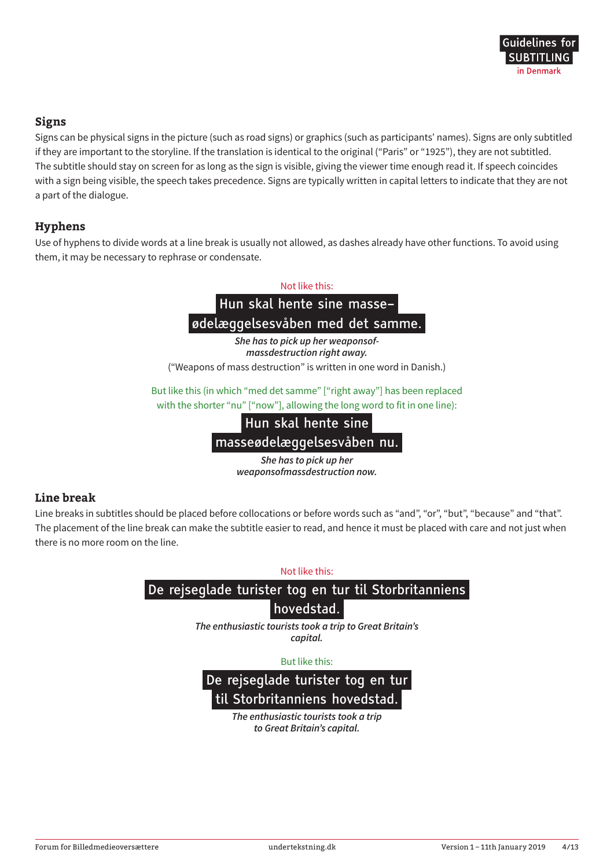#### **Signs**

Signs can be physical signs in the picture (such as road signs) or graphics (such as participants' names). Signs are only subtitled if they are important to the storyline. If the translation is identical to the original ("Paris" or "1925"), they are not subtitled. The subtitle should stay on screen for as long as the sign is visible, giving the viewer time enough read it. If speech coincides with a sign being visible, the speech takes precedence. Signs are typically written in capital letters to indicate that they are not a part of the dialogue.

#### **Hyphens**

Use of hyphens to divide words at a line break is usually not allowed, as dashes already have other functions. To avoid using them, it may be necessary to rephrase or condensate.



*massdestruction right away.* ("Weapons of mass destruction" is written in one word in Danish.)

But like this (in which "med det samme" ["right away"] has been replaced with the shorter "nu" ["now"], allowing the long word to fit in one line):

> Hun skal hente sine masseødelæggelsesvåben nu.

> > *She has to pick up her weaponsofmassdestruction now.*

#### **Line break**

Line breaks in subtitles should be placed before collocations or before words such as "and", "or", "but", "because" and "that". The placement of the line break can make the subtitle easier to read, and hence it must be placed with care and not just when there is no more room on the line.

Not like this:

### De rejseglade turister tog en tur til Storbritanniens

#### hovedstad.

*The enthusiastic tourists took a trip to Great Britain's capital.*

#### But like this:

De rejseglade turister tog en tur til Storbritanniens hovedstad.

> *The enthusiastic tourists took a trip to Great Britain's capital.*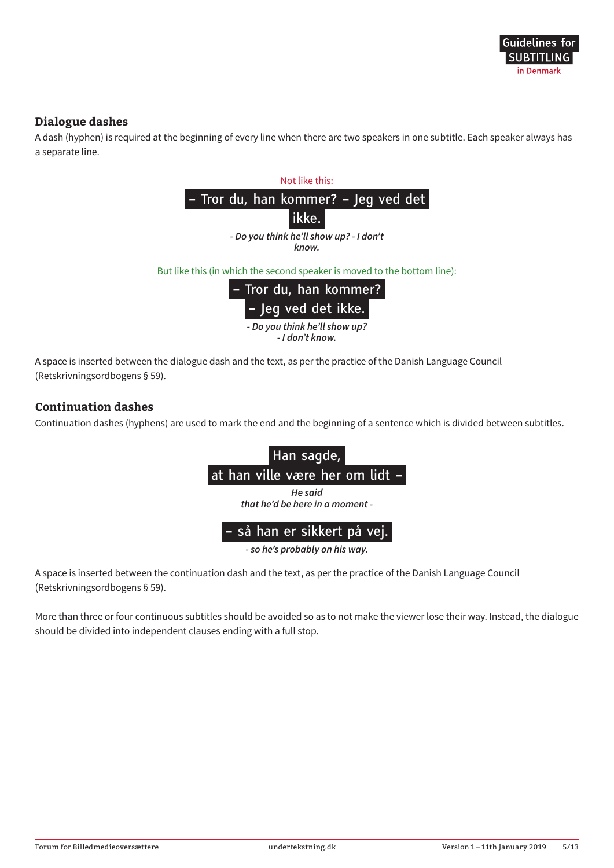#### **Dialogue dashes**

A dash (hyphen) is required at the beginning of every line when there are two speakers in one subtitle. Each speaker always has a separate line.



(Retskrivningsordbogens § 59).

#### **Continuation dashes**

Continuation dashes (hyphens) are used to mark the end and the beginning of a sentence which is divided between subtitles.



*- so he's probably on his way.*

A space is inserted between the continuation dash and the text, as per the practice of the Danish Language Council (Retskrivningsordbogens § 59).

More than three or four continuous subtitles should be avoided so as to not make the viewer lose their way. Instead, the dialogue should be divided into independent clauses ending with a full stop.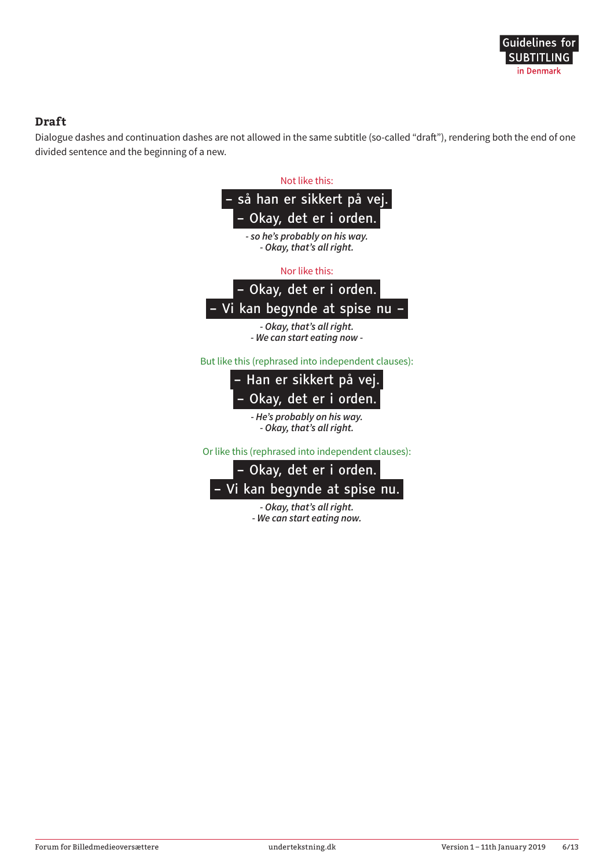#### **Draft**

Dialogue dashes and continuation dashes are not allowed in the same subtitle (so-called "draft"), rendering both the end of one divided sentence and the beginning of a new.

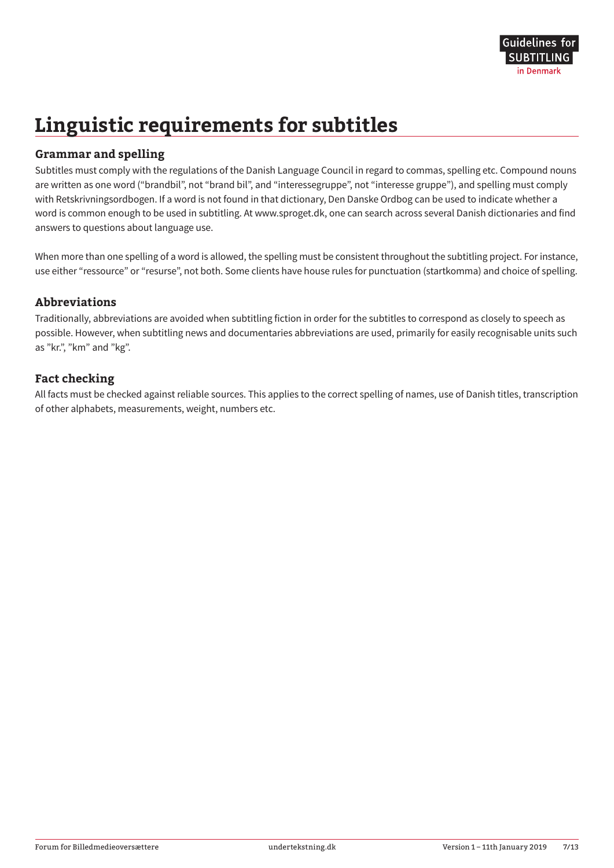# **Linguistic requirements for subtitles**

#### **Grammar and spelling**

Subtitles must comply with the regulations of the Danish Language Council in regard to commas, spelling etc. Compound nouns are written as one word ("brandbil", not "brand bil", and "interessegruppe", not "interesse gruppe"), and spelling must comply with Retskrivningsordbogen. If a word is not found in that dictionary, Den Danske Ordbog can be used to indicate whether a word is common enough to be used in subtitling. At www.sproget.dk, one can search across several Danish dictionaries and find answers to questions about language use.

When more than one spelling of a word is allowed, the spelling must be consistent throughout the subtitling project. For instance, use either "ressource" or "resurse", not both. Some clients have house rules for punctuation (startkomma) and choice of spelling.

#### **Abbreviations**

Traditionally, abbreviations are avoided when subtitling fiction in order for the subtitles to correspond as closely to speech as possible. However, when subtitling news and documentaries abbreviations are used, primarily for easily recognisable units such as "kr.", "km" and "kg".

#### **Fact checking**

All facts must be checked against reliable sources. This applies to the correct spelling of names, use of Danish titles, transcription of other alphabets, measurements, weight, numbers etc.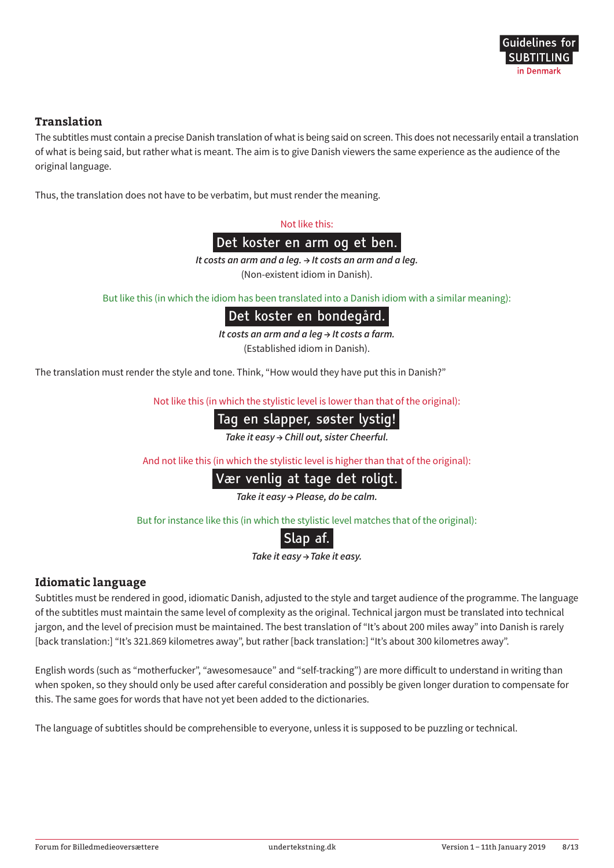#### **Translation**

The subtitles must contain a precise Danish translation of what is being said on screen. This does not necessarily entail a translation of what is being said, but rather what is meant. The aim is to give Danish viewers the same experience as the audience of the original language.

Thus, the translation does not have to be verbatim, but must render the meaning.

Not like this:

Det koster en arm og et ben.

*It costs an arm and a leg. → It costs an arm and a leg.* (Non-existent idiom in Danish).

But like this (in which the idiom has been translated into a Danish idiom with a similar meaning):

#### Det koster en bondegård.

*It costs an arm and a leg → It costs a farm.*

(Established idiom in Danish).

The translation must render the style and tone. Think, "How would they have put this in Danish?"

Not like this (in which the stylistic level is lower than that of the original):

### Tag en slapper, søster lystig!

*Take it easy → Chill out, sister Cheerful.*

And not like this (in which the stylistic level is higher than that of the original):

#### Vær venlig at tage det roligt.

*Take it easy → Please, do be calm.*

But for instance like this (in which the stylistic level matches that of the original):

|--|

*Take it easy → Take it easy.* 

#### **Idiomatic language**

Subtitles must be rendered in good, idiomatic Danish, adjusted to the style and target audience of the programme. The language of the subtitles must maintain the same level of complexity as the original. Technical jargon must be translated into technical jargon, and the level of precision must be maintained. The best translation of "It's about 200 miles away" into Danish is rarely [back translation:] "It's 321.869 kilometres away", but rather [back translation:] "It's about 300 kilometres away".

English words (such as "motherfucker", "awesomesauce" and "self-tracking") are more difficult to understand in writing than when spoken, so they should only be used after careful consideration and possibly be given longer duration to compensate for this. The same goes for words that have not yet been added to the dictionaries.

The language of subtitles should be comprehensible to everyone, unless it is supposed to be puzzling or technical.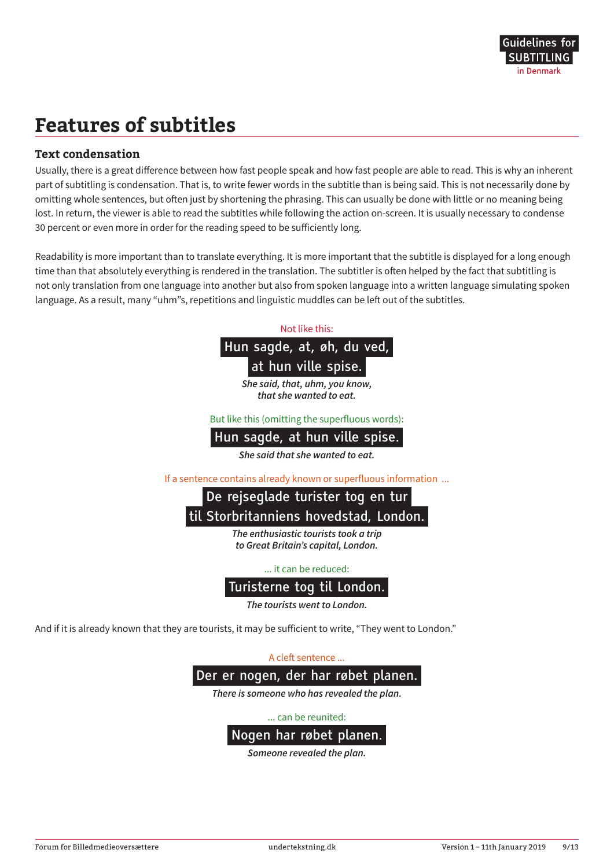# **Features of subtitles**

#### **Text condensation**

Usually, there is a great difference between how fast people speak and how fast people are able to read. This is why an inherent part of subtitling is condensation. That is, to write fewer words in the subtitle than is being said. This is not necessarily done by omitting whole sentences, but often just by shortening the phrasing. This can usually be done with little or no meaning being lost. In return, the viewer is able to read the subtitles while following the action on-screen. It is usually necessary to condense 30 percent or even more in order for the reading speed to be sufficiently long.

Readability is more important than to translate everything. It is more important that the subtitle is displayed for a long enough time than that absolutely everything is rendered in the translation. The subtitler is often helped by the fact that subtitling is not only translation from one language into another but also from spoken language into a written language simulating spoken language. As a result, many "uhm"s, repetitions and linguistic muddles can be left out of the subtitles.



*She said, that, uhm, you know, that she wanted to eat.*

But like this (omitting the superfluous words):

#### Hun sagde, at hun ville spise.

*She said that she wanted to eat.*

If a sentence contains already known or superfluous information ...

### De rejseglade turister tog en tur til Storbritanniens hovedstad, London.

*The enthusiastic tourists took a trip to Great Britain's capital, London.*

... it can be reduced:

#### Turisterne tog til London.

*The tourists went to London.*

And if it is already known that they are tourists, it may be sufficient to write, "They went to London."

A cleft sentence ...



*There is someone who has revealed the plan.*

... can be reunited:



*Someone revealed the plan.*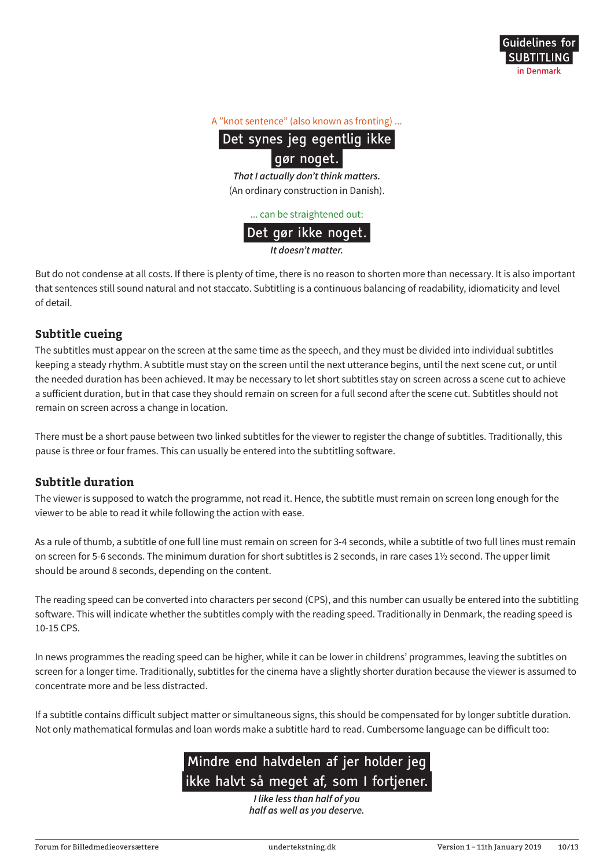#### A "knot sentence" (also known as fronting) ...

Det synes jeg egentlig ikke

#### gør noget.

*That I actually don't think matters.* (An ordinary construction in Danish).

... can be straightened out:

#### Det gør ikke noget.

*It doesn't matter.*

But do not condense at all costs. If there is plenty of time, there is no reason to shorten more than necessary. It is also important that sentences still sound natural and not staccato. Subtitling is a continuous balancing of readability, idiomaticity and level of detail.

#### **Subtitle cueing**

The subtitles must appear on the screen at the same time as the speech, and they must be divided into individual subtitles keeping a steady rhythm. A subtitle must stay on the screen until the next utterance begins, until the next scene cut, or until the needed duration has been achieved. It may be necessary to let short subtitles stay on screen across a scene cut to achieve a sufficient duration, but in that case they should remain on screen for a full second after the scene cut. Subtitles should not remain on screen across a change in location.

There must be a short pause between two linked subtitles for the viewer to register the change of subtitles. Traditionally, this pause is three or four frames. This can usually be entered into the subtitling software.

#### **Subtitle duration**

The viewer is supposed to watch the programme, not read it. Hence, the subtitle must remain on screen long enough for the viewer to be able to read it while following the action with ease.

As a rule of thumb, a subtitle of one full line must remain on screen for 3-4 seconds, while a subtitle of two full lines must remain on screen for 5-6 seconds. The minimum duration for short subtitles is 2 seconds, in rare cases 1½ second. The upper limit should be around 8 seconds, depending on the content.

The reading speed can be converted into characters per second (CPS), and this number can usually be entered into the subtitling software. This will indicate whether the subtitles comply with the reading speed. Traditionally in Denmark, the reading speed is 10-15 CPS.

In news programmes the reading speed can be higher, while it can be lower in childrens' programmes, leaving the subtitles on screen for a longer time. Traditionally, subtitles for the cinema have a slightly shorter duration because the viewer is assumed to concentrate more and be less distracted.

If a subtitle contains difficult subject matter or simultaneous signs, this should be compensated for by longer subtitle duration. Not only mathematical formulas and loan words make a subtitle hard to read. Cumbersome language can be difficult too:

### Mindre end halvdelen af jer holder jeg ikke halvt så meget af, som I fortjener.

*I like less than half of you half as well as you deserve.*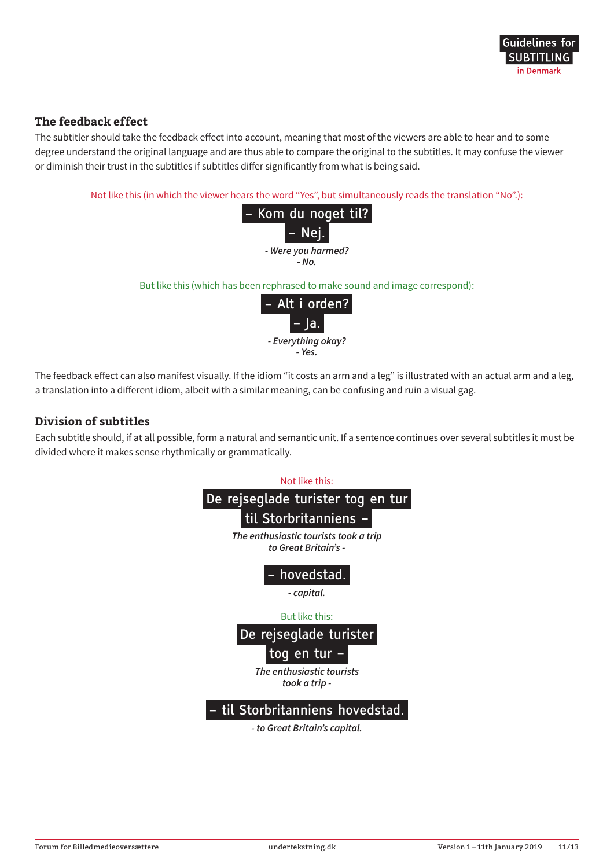#### **The feedback effect**

The subtitler should take the feedback effect into account, meaning that most of the viewers are able to hear and to some degree understand the original language and are thus able to compare the original to the subtitles. It may confuse the viewer or diminish their trust in the subtitles if subtitles differ significantly from what is being said.

Not like this (in which the viewer hears the word "Yes", but simultaneously reads the translation "No".):



But like this (which has been rephrased to make sound and image correspond):



The feedback effect can also manifest visually. If the idiom "it costs an arm and a leg" is illustrated with an actual arm and a leg, a translation into a different idiom, albeit with a similar meaning, can be confusing and ruin a visual gag.

#### **Division of subtitles**

Each subtitle should, if at all possible, form a natural and semantic unit. If a sentence continues over several subtitles it must be divided where it makes sense rhythmically or grammatically.

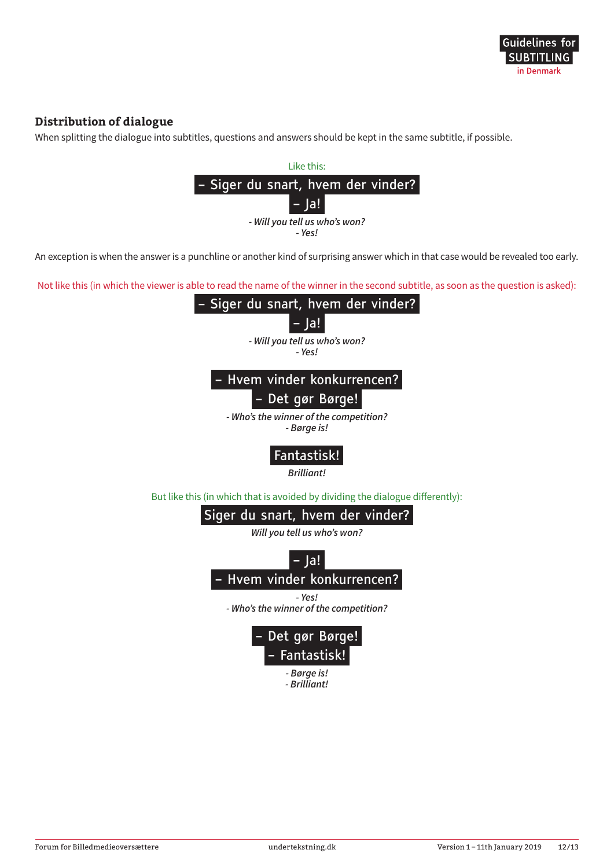#### **Distribution of dialogue**

When splitting the dialogue into subtitles, questions and answers should be kept in the same subtitle, if possible.



An exception is when the answer is a punchline or another kind of surprising answer which in that case would be revealed too early.

Not like this (in which the viewer is able to read the name of the winner in the second subtitle, as soon as the question is asked):